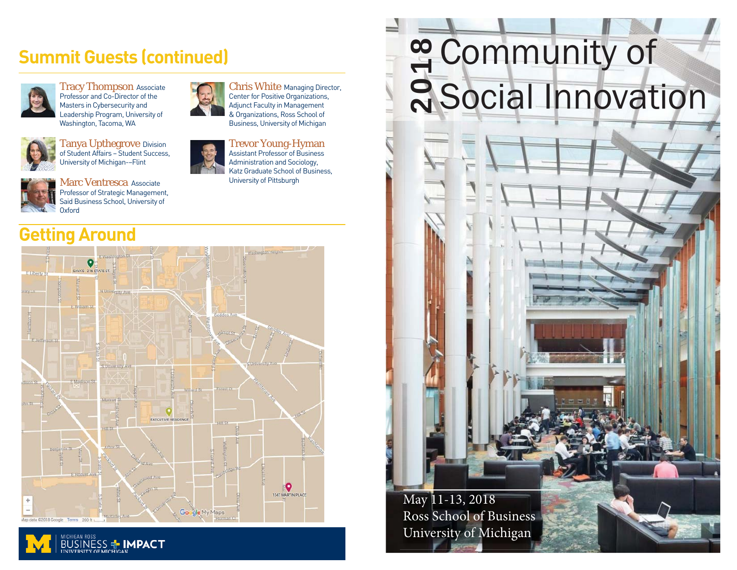## **Summit Guests (continued)**



**Tracy Thompson Associate** Professor and Co-Director of the Masters in Cybersecurity and Leadership Program, University of Washington, Tacoma, WA







Marc Ventresca Associate Professor of Strategic Management, Said Business School, University of Oxford

### **Getting Around**









Trevor Young-Hyman Assistant Professor of Business Administration and Sociology, Katz Graduate School of Business, University of Pittsburgh

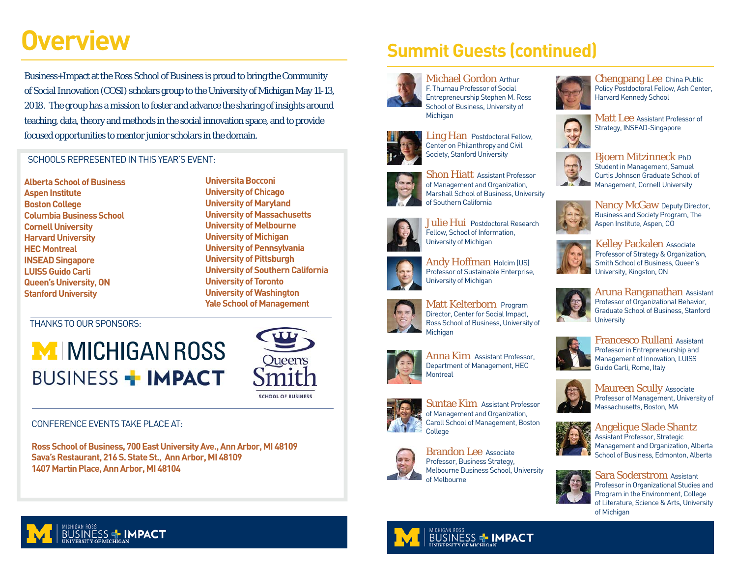# **Overview**

Business+Impact at the Ross School of Business is proud to bring the Community of Social Innovation (COSI) scholars group to the University of Michigan May 11-13, 2018. The group has a mission to foster and advance the sharing of insights around teaching, data, theory and methods in the social innovation space, and to provide focused opportunities to mentor junior scholars in the domain.

#### SCHOOLS REPRESENTED IN THIS YEAR'S EVENT:

**Alberta School of BusinessAspen Institute Boston College Columbia Business SchoolCornell University Harvard University HEC MontrealINSEAD Singapore LUISS Guido CarliQueen's University, ON Stanford University**

**Universita BocconiUniversity of Chicago University of Maryland University of Massachusetts University of Melbourne University of Michigan University of Pennsylvania University of Pittsburgh University of Southern California University of Toronto University of Washington Yale School of Management**

THANKS TO OUR SPONSORS:

## MINICHIGAN ROSS **BUSINESS + IMPACT**



CONFERENCE EVENTS TAKE PLACE AT:

**Ross School of Business, 700 East University Ave., Ann Arbor, MI 48109 Sava's Restaurant, 216 S. State St., Ann Arbor, MI 48109 1407 Martin Place, Ann Arbor, MI 48104**

## **Summit Guests (continued)**



Michael Gordon Arthur F. Thurnau Professor of Social Entrepreneurship Stephen M. Ross School of Business, University of Michigan



Ling Han Postdoctoral Fellow, Center on Philanthropy and Civil Society, Stanford University

Shon Hiatt Assistant Professor of Management and Organization, Marshall School of Business, University

of Southern California

University of Michigan





Julie Hui Postdoctoral Research Fellow, School of Information, University of Michigan

Andy Hoffman Holcim (US) Professor of Sustainable Enterprise,

Matt Kelterborn Program Director, Center for Social Impact, Ross School of Business, University of

**Anna Kim** Assistant Professor, Department of Management, HEC









Michigan

Montreal



Brandon Lee Associate Professor, Business Strategy, Melbourne Business School, University of Melbourne



Chengpang Lee China Public Policy Postdoctoral Fellow, Ash Center, Harvard Kennedy School



Matt Lee Assistant Professor of Strategy, INSEAD-Singapore



Bjoern Mitzinneck PhD Student in Management, Samuel Curtis Johnson Graduate School of Management, Cornell University



Nancy McGaw Deputy Director, Business and Society Program, The Aspen Institute, Aspen, CO



**Kelley Packalen** Associate Professor of Strategy & Organization, Smith School of Business, Queen's University, Kingston, ON



Aruna Ranganathan Assistant Professor of Organizational Behavior, Graduate School of Business, Stanford **University** 



Francesco Rullani Assistant Professor in Entrepreneurship and Management of Innovation, LUISS Guido Carli, Rome, Italy



**Maureen Scully Associate** Professor of Management, University of Massachusetts, Boston, MA



Angelique Slade Shantz Assistant Professor, Strategic Management and Organization, Alberta School of Business, Edmonton, Alberta



**Sara Soderstrom Assistant** Professor in Organizational Studies and Program in the Environment, College of Literature, Science & Arts, University of Michigan







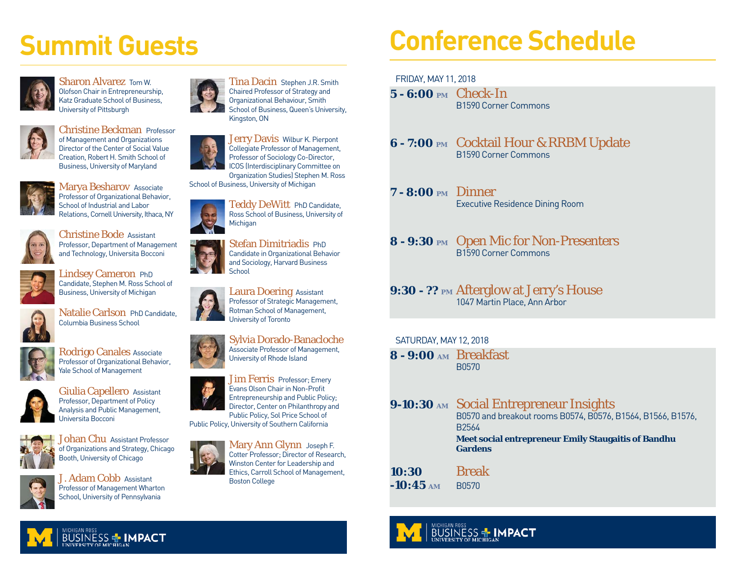# **Summit Guests**



Sharon Alvarez Tom W. Olofson Chair in Entrepreneurship, Katz Graduate School of Business, University of Pittsburgh



Christine Beckman Professor of Management and Organizations Director of the Center of Social Value Creation, Robert H. Smith School of Business, University of Maryland



Marya Besharov Associate Professor of Organizational Behavior, School of Industrial and Labor Relations, Cornell University, Ithaca, NY



Christine Bode Assistant Professor, Department of Management and Technology, Universita Bocconi



Lindsey Cameron PhD Candidate, Stephen M. Ross School of Business, University of Michigan



Natalie Carlson PhD Candidate, Columbia Business School



Rodrigo Canales Associate Professor of Organizational Behavior, Yale School of Management



Giulia Capellero Assistant Professor, Department of Policy Analysis and Public Management, Universita Bocconi



Johan Chu Assistant Professor of Organizations and Strategy, Chicago Booth, University of Chicago



J. Adam Cobb Assistant Professor of Management Wharton School, University of Pennsylvania



Tina Dacin Stephen J.R. Smith Chaired Professor of Strategy and Organizational Behaviour, Smith School of Business, Queen's University, Kingston, ON

Jerry Davis Wilbur K. Pierpont Collegiate Professor of Management, Professor of Sociology Co-Director, ICOS (Interdisciplinary Committee on Organization Studies) Stephen M. Ross

School of Business, University of Michigan







Professor of Strategic Management, Rotman School of Management, University of Toronto





Jim Ferris Professor: Emerv Evans Olson Chair in Non-Profit Entrepreneurship and Public Policy;

Director, Center on Philanthropy and Public Policy, Sol Price School of Public Policy, University of Southern California



Mary Ann Glynn Joseph F. Cotter Professor; Director of Research, Winston Center for Leadership and Ethics, Carroll School of Management, Boston College

# **Conference Schedule**

FRIDAY, MAY 11, 2018

- *5 6:00 PM* Check-In B1590 Corner Commons
- *6 7:00 PM* Cocktail Hour & RRBM Update B1590 Corner Commons
- *7 8:00 PM* DinnerExecutive Residence Dining Room
- 8 9:30 PM Open Mic for Non-Presenters B1590 Corner Commons
- *9:30 ?? PM* Afterglow at Jerry's House 1047 Martin Place, Ann Arbor

#### SATURDAY, MAY 12, 2018

*8 - 9:00 AM* BreakfastB0570

### *9-10:30 AM* Social Entrepreneur Insights

B0570 and breakout rooms B0574, B0576, B1564, B1566, B1576, B2564

#### **Meet social entrepreneur Emily Staugaitis of Bandhu Gardens**

*10:30* Break  $-10:45$  AM B0570